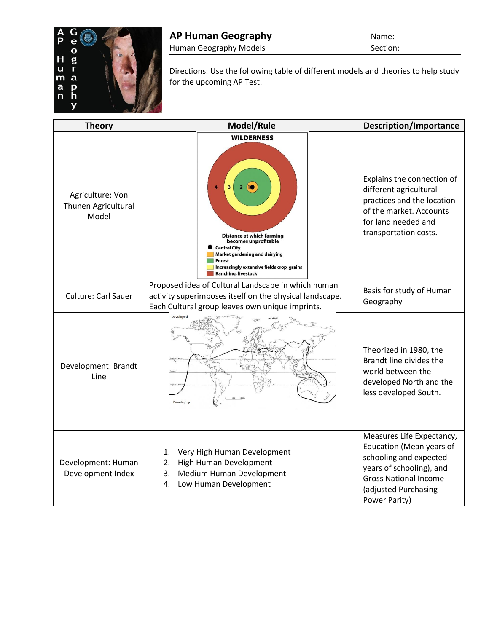

Directions: Use the following table of different models and theories to help study for the upcoming AP Test.

| <b>Theory</b>                                    | Model/Rule                                                                                                                                                                                                                  | <b>Description/Importance</b>                                                                                                                                                        |
|--------------------------------------------------|-----------------------------------------------------------------------------------------------------------------------------------------------------------------------------------------------------------------------------|--------------------------------------------------------------------------------------------------------------------------------------------------------------------------------------|
| Agriculture: Von<br>Thunen Agricultural<br>Model | <b>WILDERNESS</b><br><b>Distance at which farming</b><br>becomes unprofitable<br><b>Central City</b><br>Market gardening and dairying<br><b>Forest</b><br>Increasingly extensive fields crop, grains<br>Ranching, livestock | Explains the connection of<br>different agricultural<br>practices and the location<br>of the market. Accounts<br>for land needed and<br>transportation costs.                        |
| <b>Culture: Carl Sauer</b>                       | Proposed idea of Cultural Landscape in which human<br>activity superimposes itself on the physical landscape.<br>Each Cultural group leaves own unique imprints.                                                            | Basis for study of Human<br>Geography                                                                                                                                                |
| Development: Brandt<br>Line                      | Develope<br>Tropic of Cancel<br>Developing                                                                                                                                                                                  | Theorized in 1980, the<br>Brandt line divides the<br>world between the<br>developed North and the<br>less developed South.                                                           |
| Development: Human<br>Development Index          | Very High Human Development<br>1.<br>High Human Development<br>2.<br>Medium Human Development<br>3.<br>Low Human Development<br>4.                                                                                          | Measures Life Expectancy,<br>Education (Mean years of<br>schooling and expected<br>years of schooling), and<br><b>Gross National Income</b><br>(adjusted Purchasing<br>Power Parity) |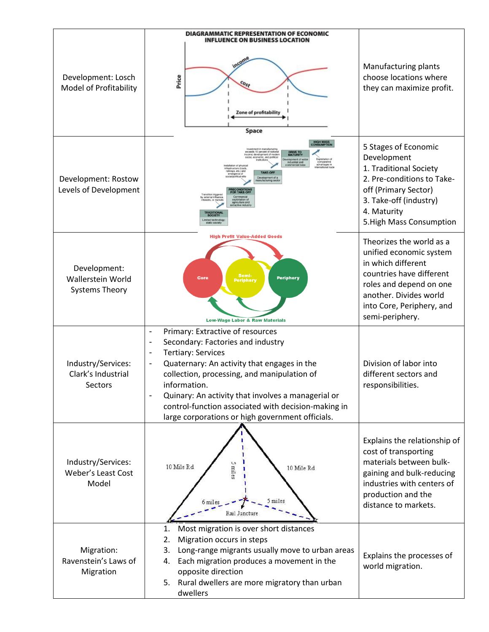| Development: Losch<br>Model of Profitability               | DIAGRAMMATIC REPRESENTATION OF ECONOMIC<br><b>INFLUENCE ON BUSINESS LOCATION</b><br>Price<br>Zone of profitability<br>Space                                                                                                                                                                                                                                                                                                                                                           | Manufacturing plants<br>choose locations where<br>they can maximize profit.                                                                                                                                |
|------------------------------------------------------------|---------------------------------------------------------------------------------------------------------------------------------------------------------------------------------------------------------------------------------------------------------------------------------------------------------------------------------------------------------------------------------------------------------------------------------------------------------------------------------------|------------------------------------------------------------------------------------------------------------------------------------------------------------------------------------------------------------|
| Development: Rostow<br>Levels of Development               | <b>HIGH MASS<br/>CONSUMPTIOI</b><br>nvestment in manufacturing<br>peeds 10 percent of nations<br>conomic, and politica<br>stopment of wide<br>industrial and<br>comparativ<br><b>Imercial base</b><br>advantages ir<br>nfrastructure (road)<br>aliways, etc.) and<br>TAKE-OFF<br>mergence o<br>Development of a<br>hufacturing secto<br><b>RECONDITION</b><br>FOR TAKE-OFF<br><b>Transition triggered</b><br>triculture a<br><b>FRADITIONAL</b><br>SOCIETY<br><b>Jmited technolog</b> | 5 Stages of Economic<br>Development<br>1. Traditional Society<br>2. Pre-conditions to Take-<br>off (Primary Sector)<br>3. Take-off (industry)<br>4. Maturity<br>5. High Mass Consumption                   |
| Development:<br>Wallerstein World<br><b>Systems Theory</b> | <b>High Profit Value-Added Goods</b><br>Semi-<br><b>Periphery</b><br><b>Core</b><br><b>Periphery</b><br><b>Low-Wage Labor &amp; Raw Materials</b>                                                                                                                                                                                                                                                                                                                                     | Theorizes the world as a<br>unified economic system<br>in which different<br>countries have different<br>roles and depend on one<br>another. Divides world<br>into Core, Periphery, and<br>semi-periphery. |
| Industry/Services:<br>Clark's Industrial<br>Sectors        | Primary: Extractive of resources<br>$\overline{\phantom{a}}$<br>Secondary: Factories and industry<br>$\overline{\phantom{a}}$<br><b>Tertiary: Services</b><br>$\overline{\phantom{a}}$<br>Quaternary: An activity that engages in the<br>collection, processing, and manipulation of<br>information.<br>Quinary: An activity that involves a managerial or<br>control-function associated with decision-making in<br>large corporations or high government officials.                 | Division of labor into<br>different sectors and<br>responsibilities.                                                                                                                                       |
| Industry/Services:<br>Weber's Least Cost<br>Model          | 5 miles<br>10 Mile Rd.<br>10 Mile Rd<br>6 miles<br>Rail Juncture                                                                                                                                                                                                                                                                                                                                                                                                                      | Explains the relationship of<br>cost of transporting<br>materials between bulk-<br>gaining and bulk-reducing<br>industries with centers of<br>production and the<br>distance to markets.                   |
| Migration:<br>Ravenstein's Laws of<br>Migration            | Most migration is over short distances<br>1.<br>Migration occurs in steps<br>2.<br>Long-range migrants usually move to urban areas<br>3.<br>Each migration produces a movement in the<br>4.<br>opposite direction<br>Rural dwellers are more migratory than urban<br>5.<br>dwellers                                                                                                                                                                                                   | Explains the processes of<br>world migration.                                                                                                                                                              |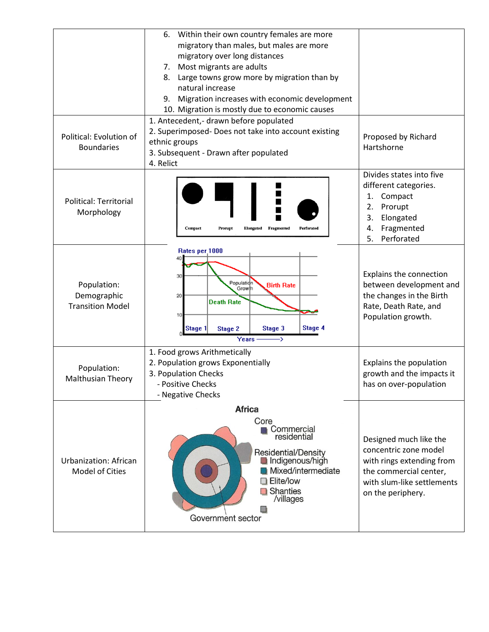| Political: Evolution of<br><b>Boundaries</b>           | Within their own country females are more<br>6.<br>migratory than males, but males are more<br>migratory over long distances<br>Most migrants are adults<br>7.<br>Large towns grow more by migration than by<br>8.<br>natural increase<br>Migration increases with economic development<br>9.<br>10. Migration is mostly due to economic causes<br>1. Antecedent,- drawn before populated<br>2. Superimposed- Does not take into account existing<br>ethnic groups | Proposed by Richard<br>Hartshorne                                                                                                                         |
|--------------------------------------------------------|--------------------------------------------------------------------------------------------------------------------------------------------------------------------------------------------------------------------------------------------------------------------------------------------------------------------------------------------------------------------------------------------------------------------------------------------------------------------|-----------------------------------------------------------------------------------------------------------------------------------------------------------|
|                                                        | 3. Subsequent - Drawn after populated<br>4. Relict                                                                                                                                                                                                                                                                                                                                                                                                                 |                                                                                                                                                           |
| <b>Political: Territorial</b><br>Morphology            | Perforated<br>Compact<br>Fragmented<br>Prorupt<br><b>Elongated</b>                                                                                                                                                                                                                                                                                                                                                                                                 | Divides states into five<br>different categories.<br>1. Compact<br>2.<br>Prorupt<br>3.<br>Elongated<br>Fragmented<br>4.<br>5.<br>Perforated               |
| Population:<br>Demographic<br><b>Transition Model</b>  | Rates per 1000<br>30<br>Population<br><b>Birth Rate</b><br>Growlh<br>20<br><b>Death Rate</b><br>10<br>Stage 4<br>Stage 3<br>Stage 1<br><b>Stage 2</b><br>Years                                                                                                                                                                                                                                                                                                     | Explains the connection<br>between development and<br>the changes in the Birth<br>Rate, Death Rate, and<br>Population growth.                             |
| Population:<br><b>Malthusian Theory</b>                | 1. Food grows Arithmetically<br>2. Population grows Exponentially<br>3. Population Checks<br>- Positive Checks<br>- Negative Checks                                                                                                                                                                                                                                                                                                                                | Explains the population<br>growth and the impacts it<br>has on over-population                                                                            |
|                                                        | <b>Africa</b>                                                                                                                                                                                                                                                                                                                                                                                                                                                      |                                                                                                                                                           |
| <b>Urbanization: African</b><br><b>Model of Cities</b> | Core<br>Commercial<br>residential<br>Residential/Density<br>Indigenous/high<br>Mixed/intermediate<br><b>Elite/low</b><br>Shanties<br>/villages<br>Government sector                                                                                                                                                                                                                                                                                                | Designed much like the<br>concentric zone model<br>with rings extending from<br>the commercial center,<br>with slum-like settlements<br>on the periphery. |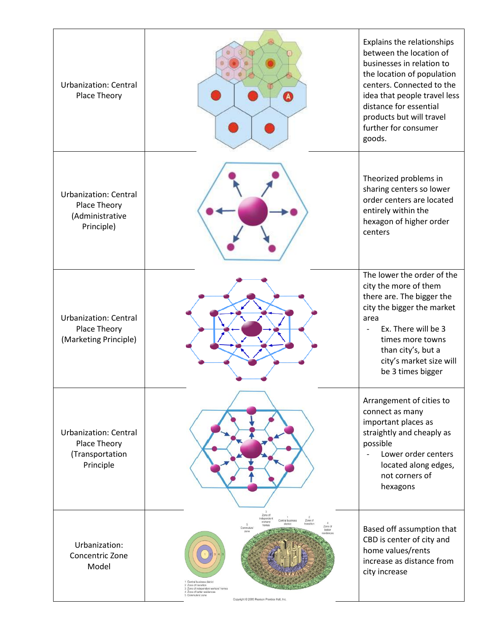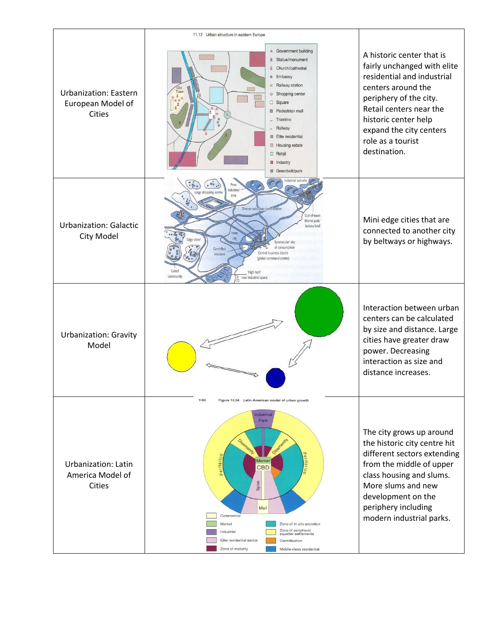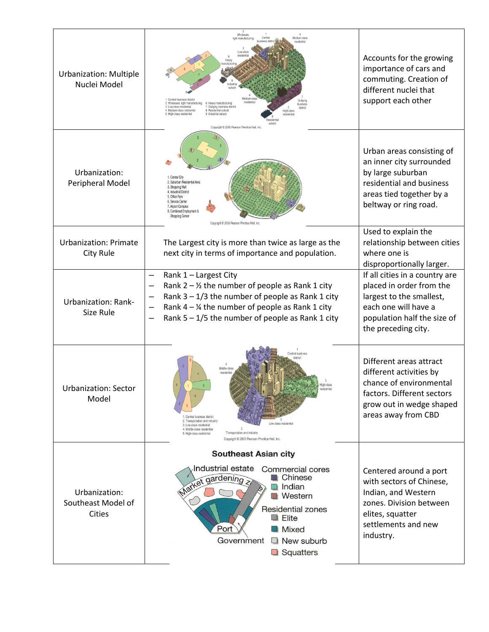| <b>Urbanization: Multiple</b><br>Nuclei Model        | Wholesale<br>edium-clas<br>light manufacturin<br>Central business district<br>Wholesale, light manufacturing<br>6 Heavy manufacturing<br>3 Low-class residential<br>Outlying business district<br>district<br>Medium-class residential<br><b>B</b> Residential suburb<br>ligh-clas<br>High-class residential<br>Industrial suburb<br>Copyright C 2005 Pearson Prentice Hall, Inc. | Accounts for the growing<br>importance of cars and<br>commuting. Creation of<br>different nuclei that<br>support each other                                          |
|------------------------------------------------------|-----------------------------------------------------------------------------------------------------------------------------------------------------------------------------------------------------------------------------------------------------------------------------------------------------------------------------------------------------------------------------------|----------------------------------------------------------------------------------------------------------------------------------------------------------------------|
| Urbanization:<br>Peripheral Model                    | 1. Central City<br>2. Suburban Residential Area<br>3. Shopping Mall<br>4. Industrial District<br>5. Office Park<br>6. Service Center<br>7. Airport Complex<br>8. Combined Employment 8<br>Shopping Center<br>Copyright @ 2005 Pearson Prentice Hall, Inc.                                                                                                                         | Urban areas consisting of<br>an inner city surrounded<br>by large suburban<br>residential and business<br>areas tied together by a<br>beltway or ring road.          |
| <b>Urbanization: Primate</b><br>City Rule            | The Largest city is more than twice as large as the<br>next city in terms of importance and population.                                                                                                                                                                                                                                                                           | Used to explain the<br>relationship between cities<br>where one is<br>disproportionally larger.                                                                      |
| <b>Urbanization: Rank-</b><br>Size Rule              | Rank 1 - Largest City<br>Rank $2 - \frac{1}{2}$ the number of people as Rank 1 city<br>Rank $3 - 1/3$ the number of people as Rank 1 city<br>Rank $4 - \frac{1}{4}$ the number of people as Rank 1 city<br>Rank $5 - 1/5$ the number of people as Rank 1 city                                                                                                                     | If all cities in a country are<br>placed in order from the<br>largest to the smallest,<br>each one will have a<br>population half the size of<br>the preceding city. |
| urbanization: Sector<br>Model                        | Central business<br>Middle-class<br>Central business district<br>2. Transportation and industry<br>Low-class residential<br>3. Low-class residential<br>4. Middle-class residential<br>Transportation and industry<br>5. High-class residential<br>Copyright C 2005 Pearson Prentice Hall, Inc.                                                                                   | Different areas attract<br>different activities by<br>chance of environmental<br>factors. Different sectors<br>grow out in wedge shaped<br>areas away from CBD       |
|                                                      | <b>Southeast Asian city</b>                                                                                                                                                                                                                                                                                                                                                       |                                                                                                                                                                      |
| Urbanization:<br>Southeast Model of<br><b>Cities</b> | Industrial estate<br>Commercial cores<br>Chinese<br>Market gardening<br>Indian<br>a B<br><b>Western</b><br>Residential zones<br>$\blacksquare$ Elite<br>Port<br>Mixed<br>$\Box$ New suburb<br>Government<br>$\Box$ Squatters                                                                                                                                                      | Centered around a port<br>with sectors of Chinese,<br>Indian, and Western<br>zones. Division between<br>elites, squatter<br>settlements and new<br>industry.         |